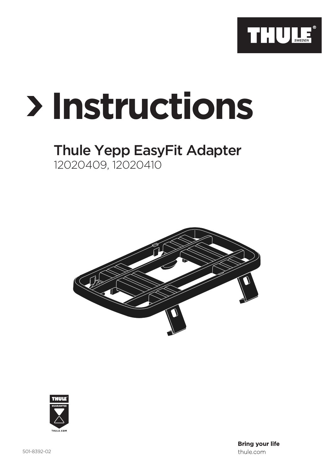

## **Instructions**

## Thule Yepp EasyFit Adapter 12020409, 12020410





**Bring your life** thule.com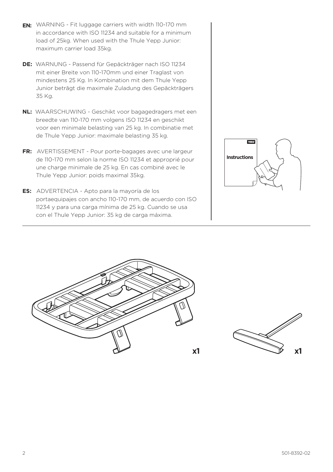- **EN:** WARNING Fit luggage carriers with width 110-170 mm in accordance with ISO 11234 and suitable for a minimum load of 25kg. When used with the Thule Yepp Junior: maximum carrier load 35kg.
- **DE:** WARNUNG Passend für Gepäckträger nach ISO 11234 mit einer Breite von 110-170mm und einer Traglast von mindestens 25 Kg. In Kombination mit dem Thule Yepp Junior beträgt die maximale Zuladung des Gepäckträgers 35 Kg.
- **NL:** WAARSCHUWING Geschikt voor bagagedragers met een breedte van 110-170 mm volgens ISO 11234 en geschikt voor een minimale belasting van 25 kg. In combinatie met de Thule Yepp Junior: maximale belasting 35 kg.
- **FR:** AVERTISSEMENT Pour porte-bagages avec une largeur de 110-170 mm selon la norme ISO 11234 et approprié pour une charge minimale de 25 kg. En cas combiné avec le Thule Yepp Junior: poids maximal 35kg.
- **ES:** ADVERTENCIA Apto para la mayoría de los portaequipajes con ancho 110-170 mm, de acuerdo con ISO 11234 y para una carga mínima de 25 kg. Cuando se usa con el Thule Yepp Junior: 35 kg de carga máxima.





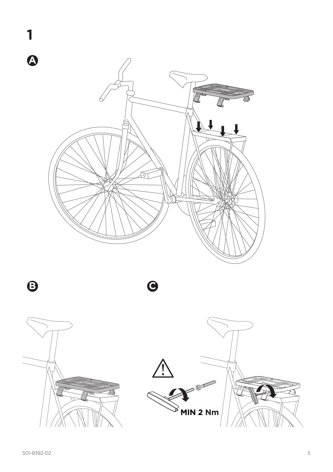

 $\ddot{\boldsymbol{\Theta}}$ 

 $\bullet$